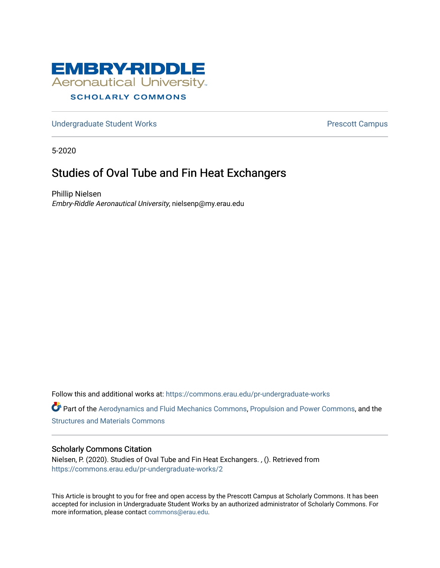

### [Undergraduate Student Works](https://commons.erau.edu/pr-undergraduate-works) **Prescott Campus**

5-2020

## Studies of Oval Tube and Fin Heat Exchangers

Phillip Nielsen Embry-Riddle Aeronautical University, nielsenp@my.erau.edu

Follow this and additional works at: [https://commons.erau.edu/pr-undergraduate-works](https://commons.erau.edu/pr-undergraduate-works?utm_source=commons.erau.edu%2Fpr-undergraduate-works%2F2&utm_medium=PDF&utm_campaign=PDFCoverPages)

Part of the [Aerodynamics and Fluid Mechanics Commons,](http://network.bepress.com/hgg/discipline/222?utm_source=commons.erau.edu%2Fpr-undergraduate-works%2F2&utm_medium=PDF&utm_campaign=PDFCoverPages) [Propulsion and Power Commons](http://network.bepress.com/hgg/discipline/225?utm_source=commons.erau.edu%2Fpr-undergraduate-works%2F2&utm_medium=PDF&utm_campaign=PDFCoverPages), and the [Structures and Materials Commons](http://network.bepress.com/hgg/discipline/224?utm_source=commons.erau.edu%2Fpr-undergraduate-works%2F2&utm_medium=PDF&utm_campaign=PDFCoverPages) 

#### Scholarly Commons Citation

Nielsen, P. (2020). Studies of Oval Tube and Fin Heat Exchangers. , (). Retrieved from [https://commons.erau.edu/pr-undergraduate-works/2](https://commons.erau.edu/pr-undergraduate-works/2?utm_source=commons.erau.edu%2Fpr-undergraduate-works%2F2&utm_medium=PDF&utm_campaign=PDFCoverPages)

This Article is brought to you for free and open access by the Prescott Campus at Scholarly Commons. It has been accepted for inclusion in Undergraduate Student Works by an authorized administrator of Scholarly Commons. For more information, please contact [commons@erau.edu.](mailto:commons@erau.edu)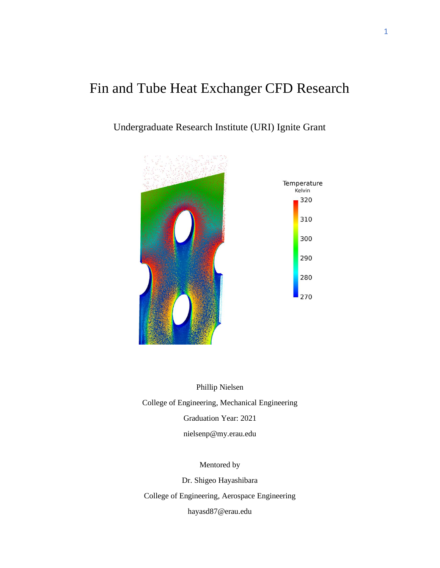# Fin and Tube Heat Exchanger CFD Research

## Undergraduate Research Institute (URI) Ignite Grant



Phillip Nielsen College of Engineering, Mechanical Engineering Graduation Year: 2021 nielsenp@my.erau.edu

Mentored by

Dr. Shigeo Hayashibara

College of Engineering, Aerospace Engineering

hayasd87@erau.edu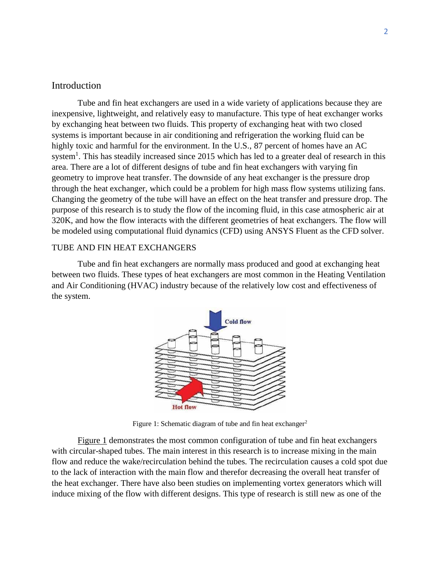#### Introduction

Tube and fin heat exchangers are used in a wide variety of applications because they are inexpensive, lightweight, and relatively easy to manufacture. This type of heat exchanger works by exchanging heat between two fluids. This property of exchanging heat with two closed systems is important because in air conditioning and refrigeration the working fluid can be highly toxic and harmful for the environment. In the U.S., 87 percent of homes have an AC system<sup>1</sup>. This has steadily increased since 2015 which has led to a greater deal of research in this area. There are a lot of different designs of tube and fin heat exchangers with varying fin geometry to improve heat transfer. The downside of any heat exchanger is the pressure drop through the heat exchanger, which could be a problem for high mass flow systems utilizing fans. Changing the geometry of the tube will have an effect on the heat transfer and pressure drop. The purpose of this research is to study the flow of the incoming fluid, in this case atmospheric air at 320K, and how the flow interacts with the different geometries of heat exchangers. The flow will be modeled using computational fluid dynamics (CFD) using ANSYS Fluent as the CFD solver.

#### TUBE AND FIN HEAT EXCHANGERS

Tube and fin heat exchangers are normally mass produced and good at exchanging heat between two fluids. These types of heat exchangers are most common in the Heating Ventilation and Air Conditioning (HVAC) industry because of the relatively low cost and effectiveness of the system.



Figure 1: Schematic diagram of tube and fin heat exchanger<sup>2</sup>

Figure 1 demonstrates the most common configuration of tube and fin heat exchangers with circular-shaped tubes. The main interest in this research is to increase mixing in the main flow and reduce the wake/recirculation behind the tubes. The recirculation causes a cold spot due to the lack of interaction with the main flow and therefor decreasing the overall heat transfer of the heat exchanger. There have also been studies on implementing vortex generators which will induce mixing of the flow with different designs. This type of research is still new as one of the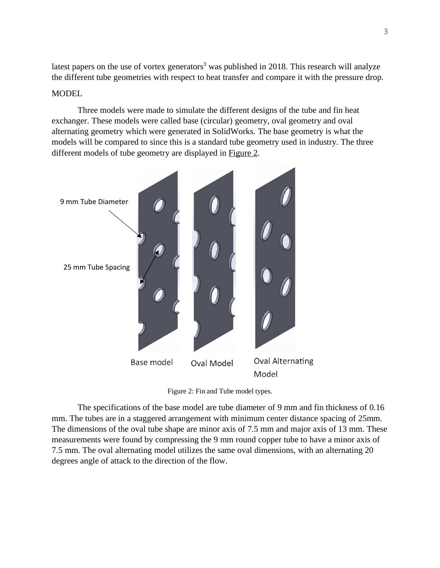latest papers on the use of vortex generators<sup>3</sup> was published in 2018. This research will analyze the different tube geometries with respect to heat transfer and compare it with the pressure drop.

#### **MODEL**

Three models were made to simulate the different designs of the tube and fin heat exchanger. These models were called base (circular) geometry, oval geometry and oval alternating geometry which were generated in SolidWorks. The base geometry is what the models will be compared to since this is a standard tube geometry used in industry. The three different models of tube geometry are displayed in Figure 2.



Figure 2: Fin and Tube model types.

The specifications of the base model are tube diameter of 9 mm and fin thickness of 0.16 mm. The tubes are in a staggered arrangement with minimum center distance spacing of 25mm. The dimensions of the oval tube shape are minor axis of 7.5 mm and major axis of 13 mm. These measurements were found by compressing the 9 mm round copper tube to have a minor axis of 7.5 mm. The oval alternating model utilizes the same oval dimensions, with an alternating 20 degrees angle of attack to the direction of the flow.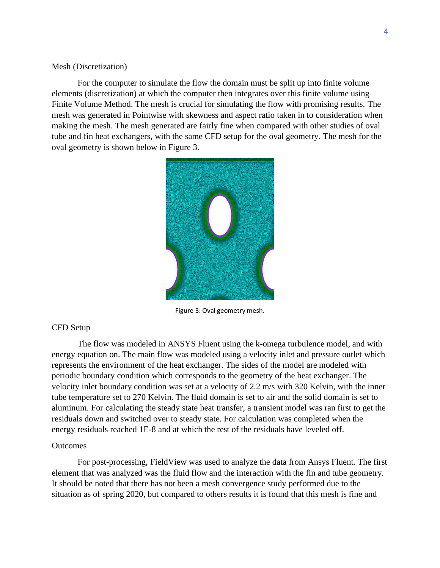#### Mesh (Discretization)

For the computer to simulate the flow the domain must be split up into finite volume elements (discretization) at which the computer then integrates over this finite volume using Finite Volume Method. The mesh is crucial for simulating the flow with promising results. The mesh was generated in Pointwise with skewness and aspect ratio taken in to consideration when making the mesh. The mesh generated are fairly fine when compared with other studies of oval tube and fin heat exchangers, with the same CFD setup for the oval geometry. The mesh for the oval geometry is shown below in Figure 3.



Figure 3: Oval geometry mesh.

#### CFD Setup

The flow was modeled in ANSYS Fluent using the k-omega turbulence model, and with energy equation on. The main flow was modeled using a velocity inlet and pressure outlet which represents the environment of the heat exchanger. The sides of the model are modeled with periodic boundary condition which corresponds to the geometry of the heat exchanger. The velocity inlet boundary condition was set at a velocity of 2.2 m/s with 320 Kelvin, with the inner tube temperature set to 270 Kelvin. The fluid domain is set to air and the solid domain is set to aluminum. For calculating the steady state heat transfer, a transient model was ran first to get the residuals down and switched over to steady state. For calculation was completed when the energy residuals reached 1E-8 and at which the rest of the residuals have leveled off.

#### **Outcomes**

For post-processing, FieldView was used to analyze the data from Ansys Fluent. The first element that was analyzed was the fluid flow and the interaction with the fin and tube geometry. It should be noted that there has not been a mesh convergence study performed due to the situation as of spring 2020, but compared to others results it is found that this mesh is fine and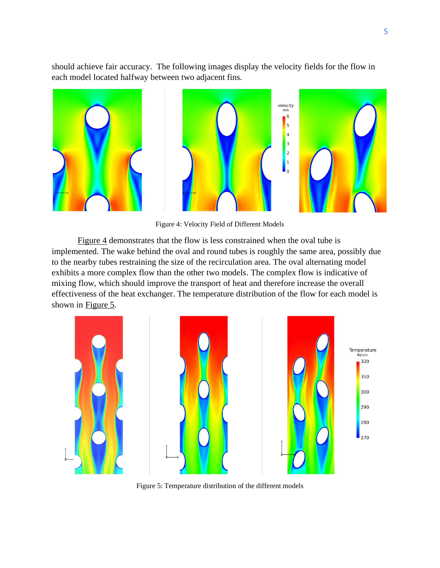should achieve fair accuracy. The following images display the velocity fields for the flow in each model located halfway between two adjacent fins.



Figure 4: Velocity Field of Different Models

Figure 4 demonstrates that the flow is less constrained when the oval tube is implemented. The wake behind the oval and round tubes is roughly the same area, possibly due to the nearby tubes restraining the size of the recirculation area. The oval alternating model exhibits a more complex flow than the other two models. The complex flow is indicative of mixing flow, which should improve the transport of heat and therefore increase the overall effectiveness of the heat exchanger. The temperature distribution of the flow for each model is shown in Figure 5.



Figure 5: Temperature distribution of the different models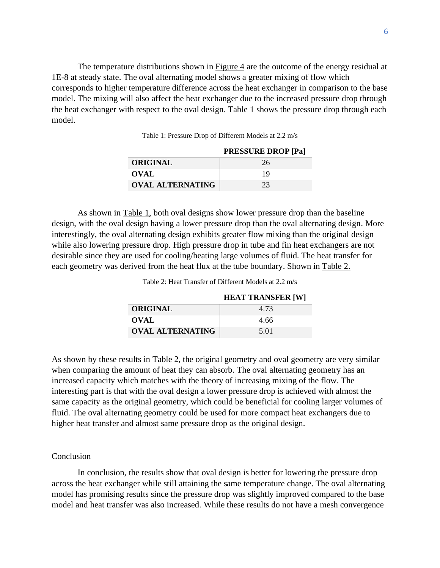The temperature distributions shown in  $Figure 4$  are the outcome of the energy residual at 1E-8 at steady state. The oval alternating model shows a greater mixing of flow which corresponds to higher temperature difference across the heat exchanger in comparison to the base model. The mixing will also affect the heat exchanger due to the increased pressure drop through the heat exchanger with respect to the oval design. Table 1 shows the pressure drop through each model.

Table 1: Pressure Drop of Different Models at 2.2 m/s

|                         | <b>PRESSURE DROP</b> [Pa] |
|-------------------------|---------------------------|
| ORIGINAL                | 26                        |
| <b>OVAL</b>             | 19                        |
| <b>OVAL ALTERNATING</b> | 23                        |

As shown in Table 1, both oval designs show lower pressure drop than the baseline design, with the oval design having a lower pressure drop than the oval alternating design. More interestingly, the oval alternating design exhibits greater flow mixing than the original design while also lowering pressure drop. High pressure drop in tube and fin heat exchangers are not desirable since they are used for cooling/heating large volumes of fluid. The heat transfer for each geometry was derived from the heat flux at the tube boundary. Shown in Table 2.

Table 2: Heat Transfer of Different Models at 2.2 m/s

|                         | <b>HEAT TRANSFER [W]</b> |
|-------------------------|--------------------------|
| <b>ORIGINAL</b>         | 4.73                     |
| OVAL                    | 4.66                     |
| <b>OVAL ALTERNATING</b> | 5.01                     |

As shown by these results in Table 2, the original geometry and oval geometry are very similar when comparing the amount of heat they can absorb. The oval alternating geometry has an increased capacity which matches with the theory of increasing mixing of the flow. The interesting part is that with the oval design a lower pressure drop is achieved with almost the same capacity as the original geometry, which could be beneficial for cooling larger volumes of fluid. The oval alternating geometry could be used for more compact heat exchangers due to higher heat transfer and almost same pressure drop as the original design.

#### **Conclusion**

In conclusion, the results show that oval design is better for lowering the pressure drop across the heat exchanger while still attaining the same temperature change. The oval alternating model has promising results since the pressure drop was slightly improved compared to the base model and heat transfer was also increased. While these results do not have a mesh convergence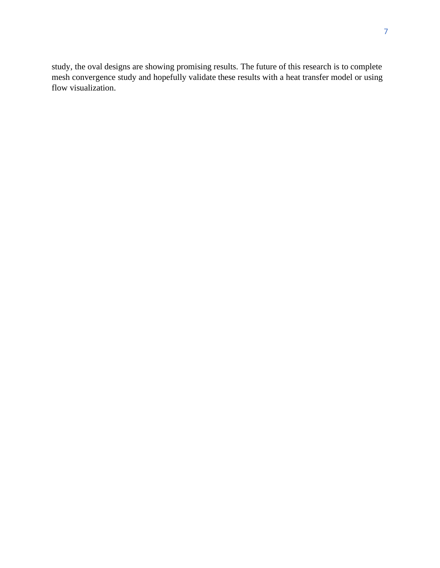study, the oval designs are showing promising results. The future of this research is to complete mesh convergence study and hopefully validate these results with a heat transfer model or using flow visualization.